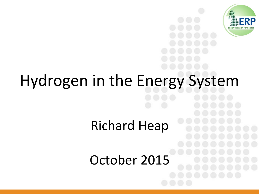

# Hydrogen in the Energy System

Richard Heap

October 2015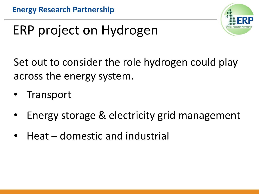

### ERP project on Hydrogen

Set out to consider the role hydrogen could play across the energy system.

- **Transport**
- Energy storage & electricity grid management
- Heat domestic and industrial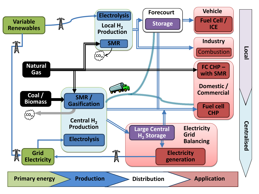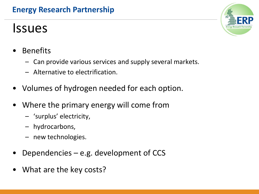#### **Energy Research Partnership**

### **Issues**



- **Benefits** 
	- Can provide various services and supply several markets.
	- Alternative to electrification.
- Volumes of hydrogen needed for each option.
- Where the primary energy will come from
	- 'surplus' electricity,
	- hydrocarbons,
	- new technologies.
- Dependencies  $-$  e.g. development of CCS
- What are the key costs?